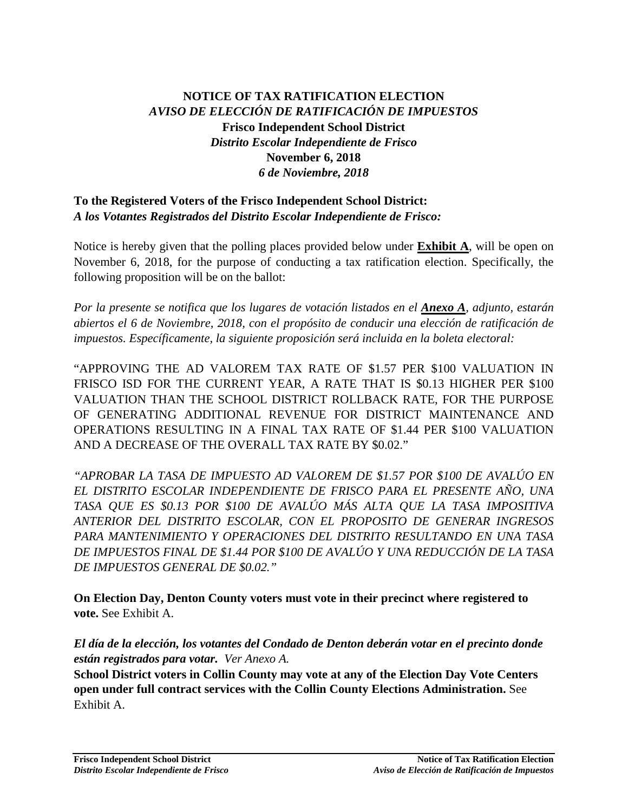## **NOTICE OF TAX RATIFICATION ELECTION** *AVISO DE ELECCIÓN DE RATIFICACIÓN DE IMPUESTOS* **Frisco Independent School District** *Distrito Escolar Independiente de Frisco* **November 6, 2018** *6 de Noviembre, 2018*

## **To the Registered Voters of the Frisco Independent School District:** *A los Votantes Registrados del Distrito Escolar Independiente de Frisco:*

Notice is hereby given that the polling places provided below under **Exhibit A**, will be open on November 6, 2018, for the purpose of conducting a tax ratification election. Specifically, the following proposition will be on the ballot:

*Por la presente se notifica que los lugares de votación listados en el Anexo A, adjunto, estarán abiertos el 6 de Noviembre, 2018, con el propósito de conducir una elección de ratificación de impuestos. Específicamente, la siguiente proposición será incluida en la boleta electoral:*

"APPROVING THE AD VALOREM TAX RATE OF \$1.57 PER \$100 VALUATION IN FRISCO ISD FOR THE CURRENT YEAR, A RATE THAT IS \$0.13 HIGHER PER \$100 VALUATION THAN THE SCHOOL DISTRICT ROLLBACK RATE, FOR THE PURPOSE OF GENERATING ADDITIONAL REVENUE FOR DISTRICT MAINTENANCE AND OPERATIONS RESULTING IN A FINAL TAX RATE OF \$1.44 PER \$100 VALUATION AND A DECREASE OF THE OVERALL TAX RATE BY \$0.02."

*"APROBAR LA TASA DE IMPUESTO AD VALOREM DE \$1.57 POR \$100 DE AVALÚO EN EL DISTRITO ESCOLAR INDEPENDIENTE DE FRISCO PARA EL PRESENTE AÑO, UNA TASA QUE ES \$0.13 POR \$100 DE AVALÚO MÁS ALTA QUE LA TASA IMPOSITIVA ANTERIOR DEL DISTRITO ESCOLAR, CON EL PROPOSITO DE GENERAR INGRESOS PARA MANTENIMIENTO Y OPERACIONES DEL DISTRITO RESULTANDO EN UNA TASA DE IMPUESTOS FINAL DE \$1.44 POR \$100 DE AVALÚO Y UNA REDUCCIÓN DE LA TASA DE IMPUESTOS GENERAL DE \$0.02."*

**On Election Day, Denton County voters must vote in their precinct where registered to vote.** See Exhibit A.

*El día de la elección, los votantes del Condado de Denton deberán votar en el precinto donde están registrados para votar. Ver Anexo A.*

**School District voters in Collin County may vote at any of the Election Day Vote Centers open under full contract services with the Collin County Elections Administration.** See Exhibit A.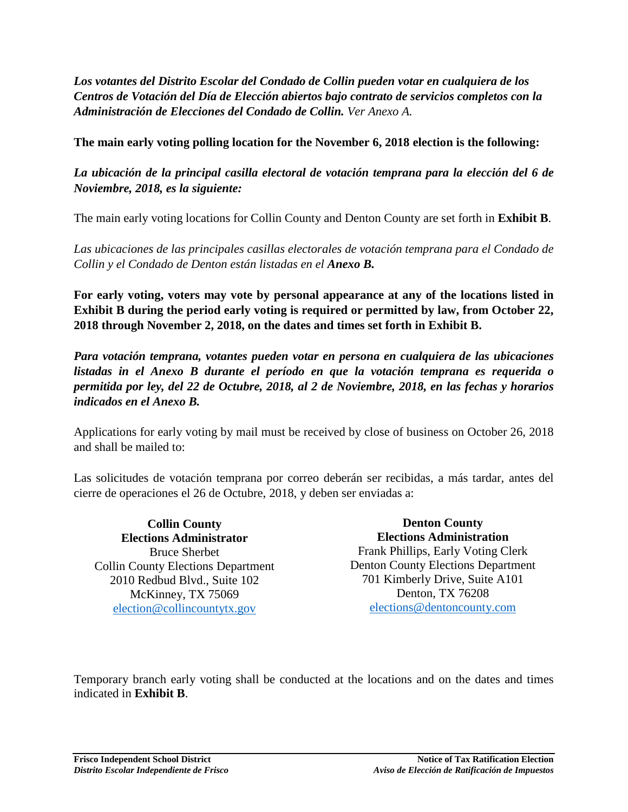*Los votantes del Distrito Escolar del Condado de Collin pueden votar en cualquiera de los Centros de Votación del Día de Elección abiertos bajo contrato de servicios completos con la Administración de Elecciones del Condado de Collin. Ver Anexo A.*

**The main early voting polling location for the November 6, 2018 election is the following:**

*La ubicación de la principal casilla electoral de votación temprana para la elección del 6 de Noviembre, 2018, es la siguiente:*

The main early voting locations for Collin County and Denton County are set forth in **Exhibit B**.

*Las ubicaciones de las principales casillas electorales de votación temprana para el Condado de Collin y el Condado de Denton están listadas en el Anexo B.*

**For early voting, voters may vote by personal appearance at any of the locations listed in Exhibit B during the period early voting is required or permitted by law, from October 22, 2018 through November 2, 2018, on the dates and times set forth in Exhibit B.**

*Para votación temprana, votantes pueden votar en persona en cualquiera de las ubicaciones listadas in el Anexo B durante el período en que la votación temprana es requerida o permitida por ley, del 22 de Octubre, 2018, al 2 de Noviembre, 2018, en las fechas y horarios indicados en el Anexo B.*

Applications for early voting by mail must be received by close of business on October 26, 2018 and shall be mailed to:

Las solicitudes de votación temprana por correo deberán ser recibidas, a más tardar, antes del cierre de operaciones el 26 de Octubre, 2018, y deben ser enviadas a:

**Collin County Elections Administrator** Bruce Sherbet Collin County Elections Department 2010 Redbud Blvd., Suite 102 McKinney, TX 75069 [election@collincountytx.gov](mailto:election@collincountytx.gov)

**Denton County Elections Administration** Frank Phillips, Early Voting Clerk Denton County Elections Department 701 Kimberly Drive, Suite A101 Denton, TX 76208 [elections@dentoncounty.com](mailto:elections@dentoncounty.com)

Temporary branch early voting shall be conducted at the locations and on the dates and times indicated in **Exhibit B**.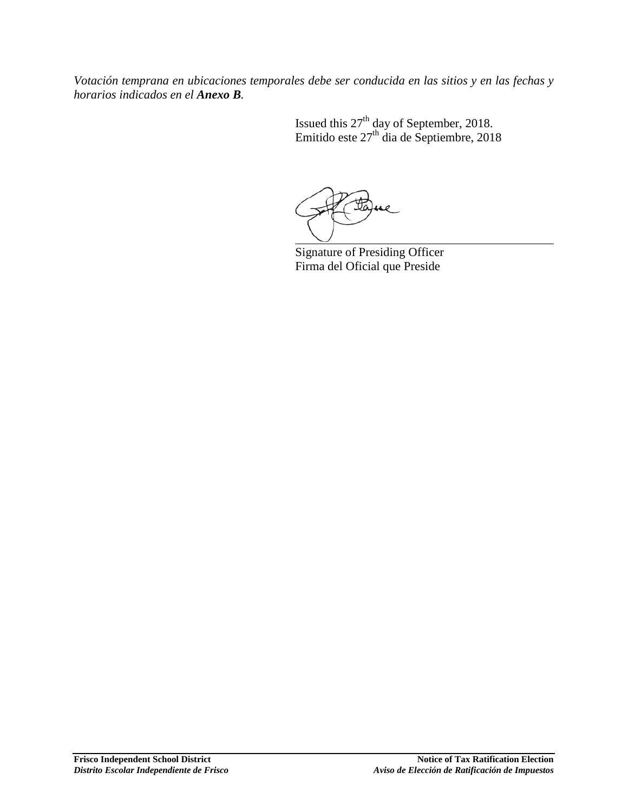*Votación temprana en ubicaciones temporales debe ser conducida en las sitios y en las fechas y horarios indicados en el Anexo B.*

> Issued this  $27<sup>th</sup>$  day of September, 2018. Emitido este  $27<sup>th</sup>$  dia de Septiembre, 2018

Signature of Presiding Officer Firma del Oficial que Preside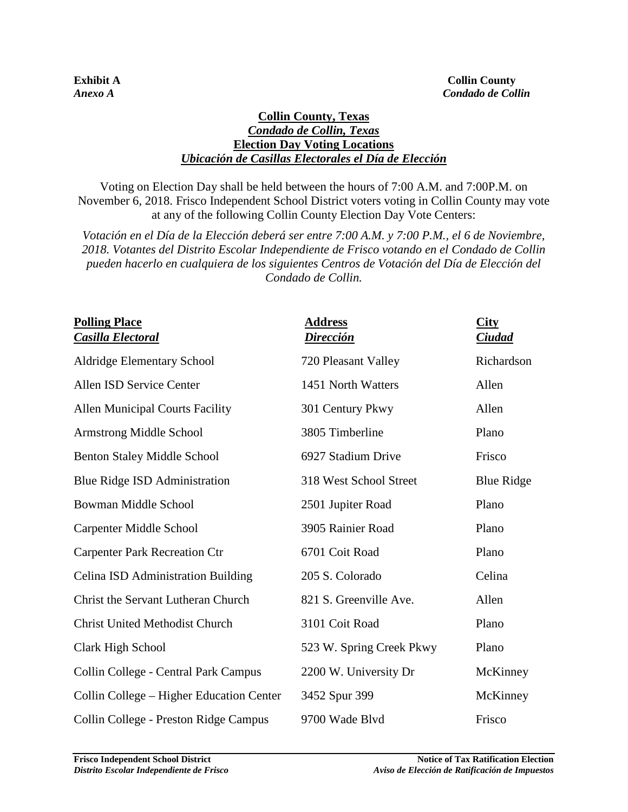#### **Collin County, Texas**  *Condado de Collin, Texas* **Election Day Voting Locations** *Ubicación de Casillas Electorales el Día de Elección*

Voting on Election Day shall be held between the hours of 7:00 A.M. and 7:00P.M. on November 6, 2018. Frisco Independent School District voters voting in Collin County may vote at any of the following Collin County Election Day Vote Centers:

*Votación en el Día de la Elección deberá ser entre 7:00 A.M. y 7:00 P.M., el 6 de Noviembre, 2018. Votantes del Distrito Escolar Independiente de Frisco votando en el Condado de Collin pueden hacerlo en cualquiera de los siguientes Centros de Votación del Día de Elección del Condado de Collin.*

| <b>Polling Place</b><br><b>Casilla Electoral</b> | <b>Address</b><br><u>Dirección</u> | <b>City</b><br><u>Ciudad</u> |
|--------------------------------------------------|------------------------------------|------------------------------|
| <b>Aldridge Elementary School</b>                | 720 Pleasant Valley                | Richardson                   |
| Allen ISD Service Center                         | 1451 North Watters                 | Allen                        |
| <b>Allen Municipal Courts Facility</b>           | 301 Century Pkwy                   | Allen                        |
| <b>Armstrong Middle School</b>                   | 3805 Timberline                    | Plano                        |
| <b>Benton Staley Middle School</b>               | 6927 Stadium Drive                 | Frisco                       |
| Blue Ridge ISD Administration                    | 318 West School Street             | <b>Blue Ridge</b>            |
| <b>Bowman Middle School</b>                      | 2501 Jupiter Road                  | Plano                        |
| Carpenter Middle School                          | 3905 Rainier Road                  | Plano                        |
| <b>Carpenter Park Recreation Ctr</b>             | 6701 Coit Road                     | Plano                        |
| Celina ISD Administration Building               | 205 S. Colorado                    | Celina                       |
| Christ the Servant Lutheran Church               | 821 S. Greenville Ave.             | Allen                        |
| <b>Christ United Methodist Church</b>            | 3101 Coit Road                     | Plano                        |
| Clark High School                                | 523 W. Spring Creek Pkwy           | Plano                        |
| Collin College - Central Park Campus             | 2200 W. University Dr              | McKinney                     |
| Collin College – Higher Education Center         | 3452 Spur 399                      | McKinney                     |
| Collin College - Preston Ridge Campus            | 9700 Wade Blvd                     | Frisco                       |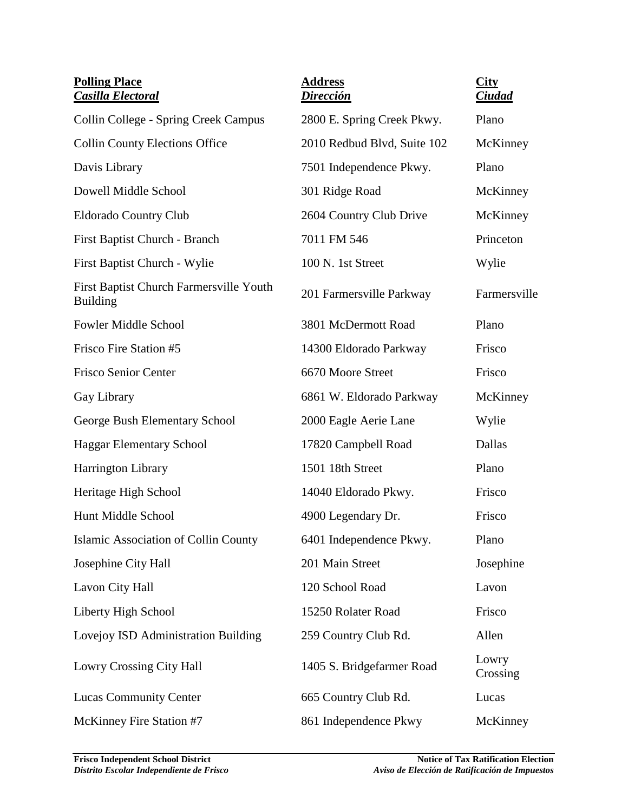| <b>Polling Place</b><br><b>Casilla Electoral</b>           | <b>Address</b><br><b>Dirección</b> | <b>City</b><br>Ciudad |
|------------------------------------------------------------|------------------------------------|-----------------------|
| Collin College - Spring Creek Campus                       | 2800 E. Spring Creek Pkwy.         | Plano                 |
| <b>Collin County Elections Office</b>                      | 2010 Redbud Blvd, Suite 102        | McKinney              |
| Davis Library                                              | 7501 Independence Pkwy.            | Plano                 |
| Dowell Middle School                                       | 301 Ridge Road                     | McKinney              |
| <b>Eldorado Country Club</b>                               | 2604 Country Club Drive            | McKinney              |
| First Baptist Church - Branch                              | 7011 FM 546                        | Princeton             |
| First Baptist Church - Wylie                               | 100 N. 1st Street                  | Wylie                 |
| First Baptist Church Farmersville Youth<br><b>Building</b> | 201 Farmersville Parkway           | Farmersville          |
| <b>Fowler Middle School</b>                                | 3801 McDermott Road                | Plano                 |
| Frisco Fire Station #5                                     | 14300 Eldorado Parkway             | Frisco                |
| <b>Frisco Senior Center</b>                                | 6670 Moore Street                  | Frisco                |
| Gay Library                                                | 6861 W. Eldorado Parkway           | McKinney              |
| George Bush Elementary School                              | 2000 Eagle Aerie Lane              | Wylie                 |
| <b>Haggar Elementary School</b>                            | 17820 Campbell Road                | Dallas                |
| Harrington Library                                         | 1501 18th Street                   | Plano                 |
| Heritage High School                                       | 14040 Eldorado Pkwy.               | Frisco                |
| Hunt Middle School                                         | 4900 Legendary Dr.                 | Frisco                |
| Islamic Association of Collin County                       | 6401 Independence Pkwy.            | Plano                 |
| Josephine City Hall                                        | 201 Main Street                    | Josephine             |
| Lavon City Hall                                            | 120 School Road                    | Lavon                 |
| Liberty High School                                        | 15250 Rolater Road                 | Frisco                |
| Lovejoy ISD Administration Building                        | 259 Country Club Rd.               | Allen                 |
| Lowry Crossing City Hall                                   | 1405 S. Bridgefarmer Road          | Lowry<br>Crossing     |
| <b>Lucas Community Center</b>                              | 665 Country Club Rd.               | Lucas                 |
| McKinney Fire Station #7                                   | 861 Independence Pkwy              | McKinney              |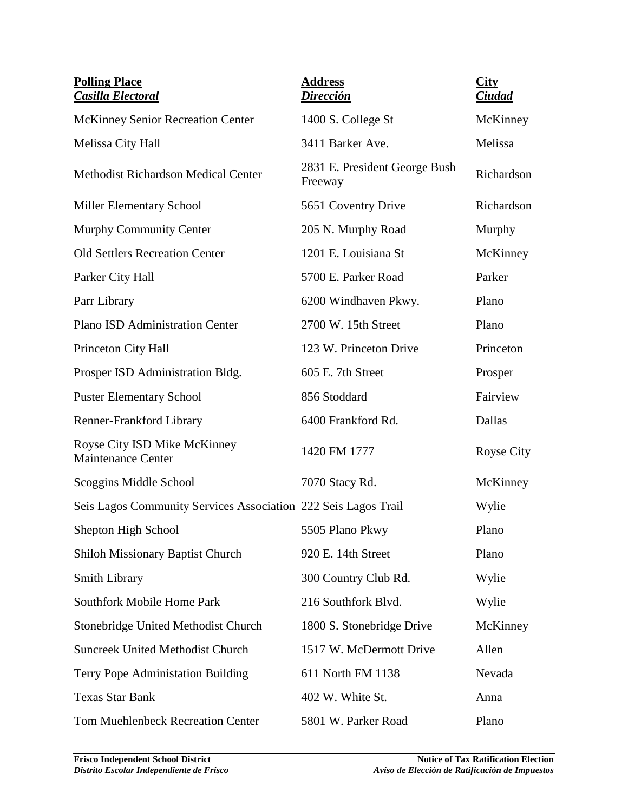| <b>Polling Place</b><br><b>Casilla Electoral</b>               | <b>Address</b><br>Dirección              | <b>City</b><br><b>Ciudad</b> |
|----------------------------------------------------------------|------------------------------------------|------------------------------|
| <b>McKinney Senior Recreation Center</b>                       | 1400 S. College St                       | McKinney                     |
| Melissa City Hall                                              | 3411 Barker Ave.                         | Melissa                      |
| <b>Methodist Richardson Medical Center</b>                     | 2831 E. President George Bush<br>Freeway | Richardson                   |
| <b>Miller Elementary School</b>                                | 5651 Coventry Drive                      | Richardson                   |
| Murphy Community Center                                        | 205 N. Murphy Road                       | Murphy                       |
| <b>Old Settlers Recreation Center</b>                          | 1201 E. Louisiana St                     | McKinney                     |
| Parker City Hall                                               | 5700 E. Parker Road                      | Parker                       |
| Parr Library                                                   | 6200 Windhaven Pkwy.                     | Plano                        |
| <b>Plano ISD Administration Center</b>                         | 2700 W. 15th Street                      | Plano                        |
| Princeton City Hall                                            | 123 W. Princeton Drive                   | Princeton                    |
| Prosper ISD Administration Bldg.                               | 605 E. 7th Street                        | Prosper                      |
| <b>Puster Elementary School</b>                                | 856 Stoddard                             | Fairview                     |
| Renner-Frankford Library                                       | 6400 Frankford Rd.                       | Dallas                       |
| Royse City ISD Mike McKinney<br><b>Maintenance Center</b>      | 1420 FM 1777                             | Royse City                   |
| Scoggins Middle School                                         | 7070 Stacy Rd.                           | McKinney                     |
| Seis Lagos Community Services Association 222 Seis Lagos Trail |                                          | Wylie                        |
| Shepton High School                                            | 5505 Plano Pkwy                          | Plano                        |
| <b>Shiloh Missionary Baptist Church</b>                        | 920 E. 14th Street                       | Plano                        |
| <b>Smith Library</b>                                           | 300 Country Club Rd.                     | Wylie                        |
| <b>Southfork Mobile Home Park</b>                              | 216 Southfork Blvd.                      | Wylie                        |
| Stonebridge United Methodist Church                            | 1800 S. Stonebridge Drive                | McKinney                     |
| <b>Suncreek United Methodist Church</b>                        | 1517 W. McDermott Drive                  | Allen                        |
| <b>Terry Pope Administation Building</b>                       | 611 North FM 1138                        | Nevada                       |
| <b>Texas Star Bank</b>                                         | 402 W. White St.                         | Anna                         |
| <b>Tom Muehlenbeck Recreation Center</b>                       | 5801 W. Parker Road                      | Plano                        |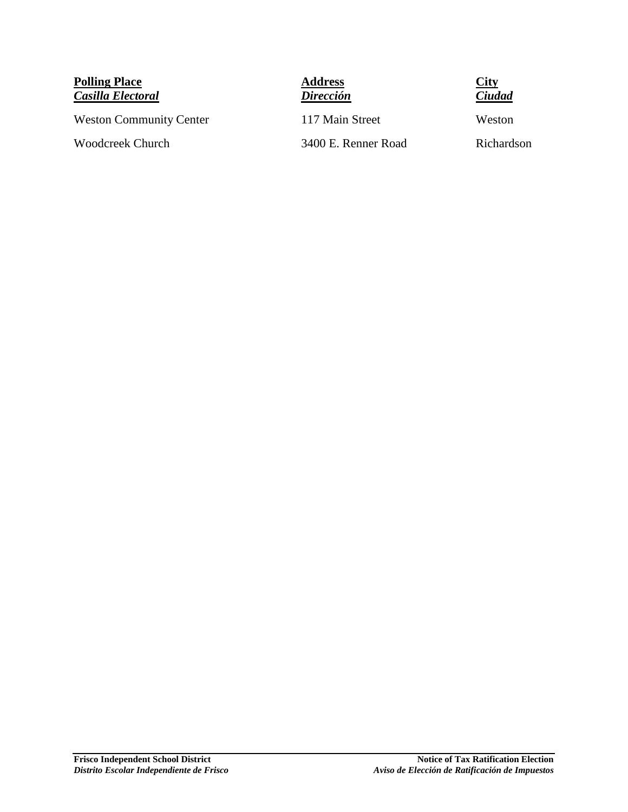**Polling Place** *Casilla Electoral*

Weston Community Center 117 Main Street Weston

**Address** *Dirección*



Woodcreek Church 3400 E. Renner Road Richardson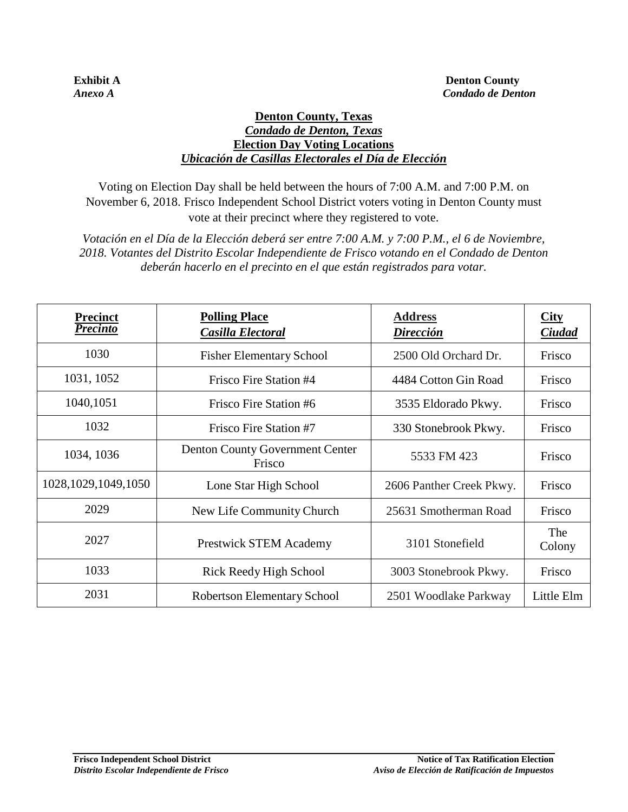#### **Denton County, Texas**  *Condado de Denton, Texas* **Election Day Voting Locations** *Ubicación de Casillas Electorales el Día de Elección*

Voting on Election Day shall be held between the hours of 7:00 A.M. and 7:00 P.M. on November 6, 2018. Frisco Independent School District voters voting in Denton County must vote at their precinct where they registered to vote.

*Votación en el Día de la Elección deberá ser entre 7:00 A.M. y 7:00 P.M., el 6 de Noviembre, 2018. Votantes del Distrito Escolar Independiente de Frisco votando en el Condado de Denton deberán hacerlo en el precinto en el que están registrados para votar.*

| <b>Precinct</b><br><b>Precinto</b> | <b>Polling Place</b><br>Casilla Electoral | <b>Address</b><br>Dirección | <b>City</b><br>Ciudad |
|------------------------------------|-------------------------------------------|-----------------------------|-----------------------|
| 1030                               | <b>Fisher Elementary School</b>           | 2500 Old Orchard Dr.        | Frisco                |
| 1031, 1052                         | Frisco Fire Station #4                    | 4484 Cotton Gin Road        | Frisco                |
| 1040,1051                          | Frisco Fire Station #6                    | 3535 Eldorado Pkwy.         | Frisco                |
| 1032                               | Frisco Fire Station #7                    | 330 Stonebrook Pkwy.        | Frisco                |
| 1034, 1036                         | Denton County Government Center<br>Frisco | 5533 FM 423                 | Frisco                |
| 1028, 1029, 1049, 1050             | Lone Star High School                     | 2606 Panther Creek Pkwy.    | Frisco                |
| 2029                               | New Life Community Church                 | 25631 Smotherman Road       | Frisco                |
| 2027                               | <b>Prestwick STEM Academy</b>             | 3101 Stonefield             | The<br>Colony         |
| 1033                               | Rick Reedy High School                    | 3003 Stonebrook Pkwy.       | Frisco                |
| 2031                               | <b>Robertson Elementary School</b>        | 2501 Woodlake Parkway       | Little Elm            |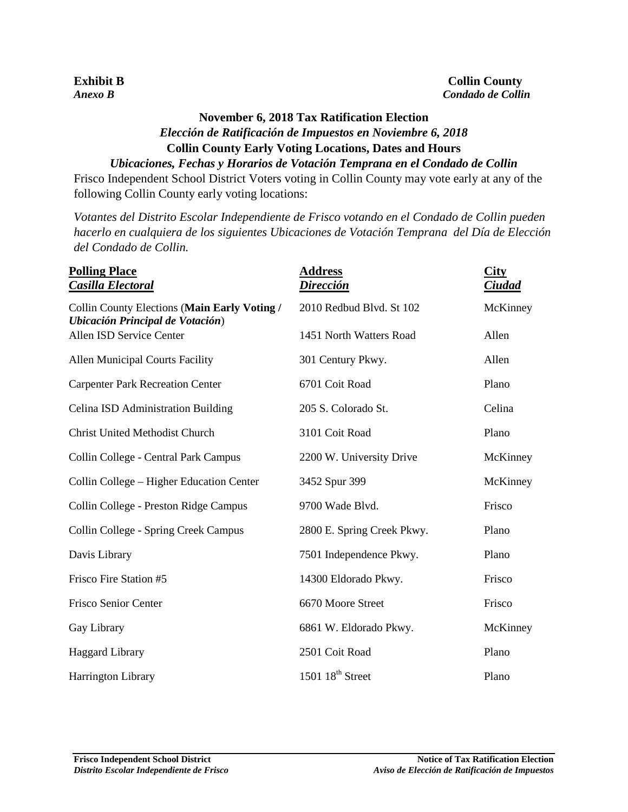| Votantes del L |  |  |
|----------------|--|--|
|                |  |  |

# **November 6, 2018 Tax Ratification Election** *Elección de Ratificación de Impuestos en Noviembre 6, 2018*  **Collin County Early Voting Locations, Dates and Hours**

*Ubicaciones, Fechas y Horarios de Votación Temprana en el Condado de Collin* Frisco Independent School District Voters voting in Collin County may vote early at any of the following Collin County early voting locations:

*Votantes del Distrito Escolar Independiente de Frisco votando en el Condado de Collin pueden hacerlo en cualquiera de los siguientes Ubicaciones de Votación Temprana del Día de Elección del Condado de Collin.*

| <b>Polling Place</b><br>Casilla Electoral                                        | <b>Address</b><br>Dirección  | <b>City</b><br>Ciudad |
|----------------------------------------------------------------------------------|------------------------------|-----------------------|
| Collin County Elections (Main Early Voting /<br>Ubicación Principal de Votación) | 2010 Redbud Blvd. St 102     | McKinney              |
| Allen ISD Service Center                                                         | 1451 North Watters Road      | Allen                 |
| <b>Allen Municipal Courts Facility</b>                                           | 301 Century Pkwy.            | Allen                 |
| <b>Carpenter Park Recreation Center</b>                                          | 6701 Coit Road               | Plano                 |
| Celina ISD Administration Building                                               | 205 S. Colorado St.          | Celina                |
| <b>Christ United Methodist Church</b>                                            | 3101 Coit Road               | Plano                 |
| Collin College - Central Park Campus                                             | 2200 W. University Drive     | McKinney              |
| Collin College – Higher Education Center                                         | 3452 Spur 399                | McKinney              |
| Collin College - Preston Ridge Campus                                            | 9700 Wade Blvd.              | Frisco                |
| Collin College - Spring Creek Campus                                             | 2800 E. Spring Creek Pkwy.   | Plano                 |
| Davis Library                                                                    | 7501 Independence Pkwy.      | Plano                 |
| Frisco Fire Station #5                                                           | 14300 Eldorado Pkwy.         | Frisco                |
| Frisco Senior Center                                                             | 6670 Moore Street            | Frisco                |
| Gay Library                                                                      | 6861 W. Eldorado Pkwy.       | McKinney              |
| <b>Haggard Library</b>                                                           | 2501 Coit Road               | Plano                 |
| Harrington Library                                                               | 1501 18 <sup>th</sup> Street | Plano                 |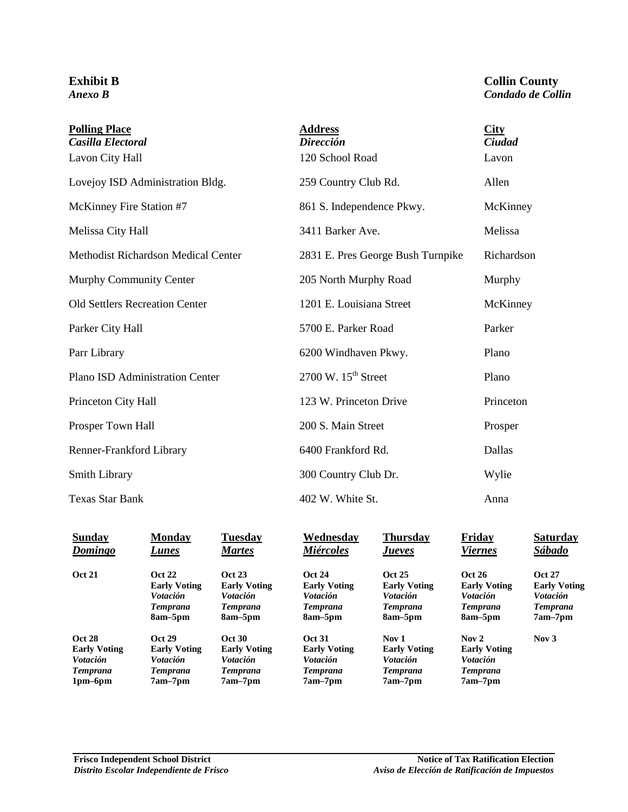#### **Exhibit B** *Anexo B*

#### **Collin County** *Condado de Collin*

| <b>Polling Place</b><br>Casilla Electoral | <b>Address</b><br><b>Dirección</b>         | <b>City</b><br>Ciudad |
|-------------------------------------------|--------------------------------------------|-----------------------|
| Lavon City Hall                           | 120 School Road                            | Lavon                 |
| Lovejoy ISD Administration Bldg.          | 259 Country Club Rd.                       | Allen                 |
| McKinney Fire Station #7                  | 861 S. Independence Pkwy.                  | McKinney              |
| Melissa City Hall                         | 3411 Barker Ave.                           | Melissa               |
| Methodist Richardson Medical Center       | 2831 E. Pres George Bush Turnpike          | Richardson            |
| Murphy Community Center                   | 205 North Murphy Road                      | Murphy                |
| <b>Old Settlers Recreation Center</b>     | 1201 E. Louisiana Street                   | McKinney              |
| Parker City Hall                          | 5700 E. Parker Road                        | Parker                |
| Parr Library                              | 6200 Windhaven Pkwy.                       | Plano                 |
| Plano ISD Administration Center           | $2700 \text{ W}$ . $15^{\text{th}}$ Street | Plano                 |
| Princeton City Hall                       | 123 W. Princeton Drive                     | Princeton             |
| Prosper Town Hall                         | 200 S. Main Street                         | Prosper               |
| Renner-Frankford Library                  | 6400 Frankford Rd.                         | Dallas                |
| <b>Smith Library</b>                      | 300 Country Club Dr.                       | Wylie                 |
| <b>Texas Star Bank</b>                    | 402 W. White St.                           | Anna                  |

| <b>Sunday</b>       | <b>Monday</b>       | <b>Tuesday</b>      | Wednesday              | Thursday            | Friday              | <b>Saturday</b>     |
|---------------------|---------------------|---------------------|------------------------|---------------------|---------------------|---------------------|
| Domingo             | Lunes               | <b>Martes</b>       | <b>Miércoles</b>       | <i>Jueves</i>       | <b>Viernes</b>      | Sábado              |
| <b>Oct 21</b>       | <b>Oct 22</b>       | <b>Oct 23</b>       | <b>Oct 24</b>          | <b>Oct 25</b>       | <b>Oct 26</b>       | <b>Oct 27</b>       |
|                     | <b>Early Voting</b> | <b>Early Voting</b> | <b>Early Voting</b>    | <b>Early Voting</b> | <b>Early Voting</b> | <b>Early Voting</b> |
|                     | <b>Votación</b>     | <i>Votación</i>     | <i><b>Votación</b></i> | <i>Votación</i>     | <i>Votación</i>     | <b>Votación</b>     |
|                     | <b>Temprana</b>     | <b>Temprana</b>     | <b>Temprana</b>        | <b>Temprana</b>     | <b>Temprana</b>     | <b>Temprana</b>     |
|                     | 8am-5pm             | 8am–5pm             | 8am–5pm                | 8am–5pm             | 8am–5pm             | $7am-7pm$           |
| <b>Oct 28</b>       | <b>Oct 29</b>       | <b>Oct 30</b>       | <b>Oct 31</b>          | Nov <sub>1</sub>    | Nov $2$             | Nov $3$             |
| <b>Early Voting</b> | <b>Early Voting</b> | <b>Early Voting</b> | <b>Early Voting</b>    | <b>Early Voting</b> | <b>Early Voting</b> |                     |
| <i>Votación</i>     | <b>Votación</b>     | <i>Votación</i>     | <i><b>Votación</b></i> | <i>Votación</i>     | <i>Votación</i>     |                     |
| <b>Temprana</b>     | Temprana            | <b>Temprana</b>     | <b>Temprana</b>        | <b>Temprana</b>     | <b>Temprana</b>     |                     |
| $1pm-6pm$           | $7am-7pm$           | 7am–7pm             | $7am-7pm$              | $7am-7pm$           | $7am-7pm$           |                     |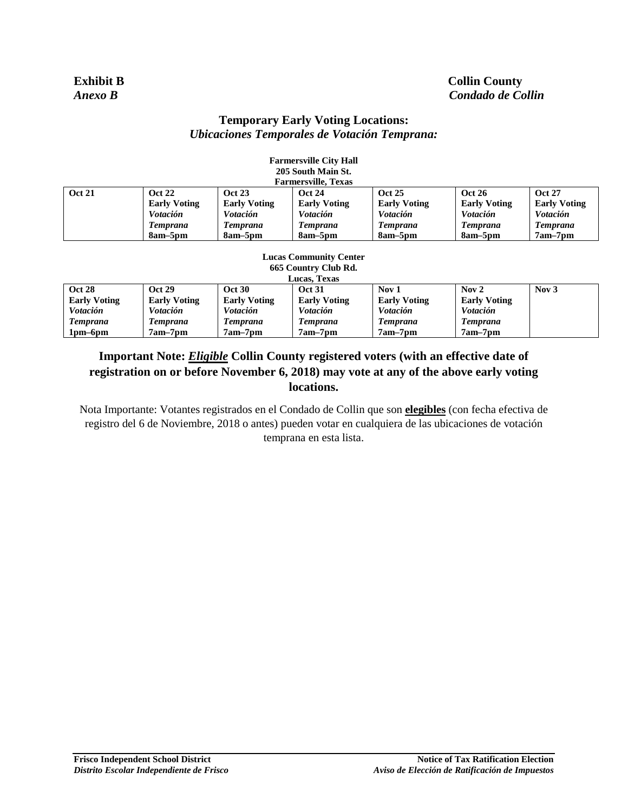#### **Exhibit B Collin County** *Anexo B Condado de Collin*

#### **Temporary Early Voting Locations:** *Ubicaciones Temporales de Votación Temprana:*

**Farmersville City Hall**

|                                                                                                                                                                                                                                                         |                       |                                                                                                                                     | ганистэмис Спу нап            |                        |                                                                                         |                        |
|---------------------------------------------------------------------------------------------------------------------------------------------------------------------------------------------------------------------------------------------------------|-----------------------|-------------------------------------------------------------------------------------------------------------------------------------|-------------------------------|------------------------|-----------------------------------------------------------------------------------------|------------------------|
|                                                                                                                                                                                                                                                         |                       |                                                                                                                                     | 205 South Main St.            |                        |                                                                                         |                        |
|                                                                                                                                                                                                                                                         |                       |                                                                                                                                     | <b>Farmersville, Texas</b>    |                        |                                                                                         |                        |
| <b>Oct 21</b>                                                                                                                                                                                                                                           | <b>Oct 22</b>         | <b>Oct 23</b>                                                                                                                       | <b>Oct 24</b>                 | <b>Oct 25</b>          | <b>Oct 26</b>                                                                           | <b>Oct 27</b>          |
|                                                                                                                                                                                                                                                         | <b>Early Voting</b>   | <b>Early Voting</b>                                                                                                                 | <b>Early Voting</b>           | <b>Early Voting</b>    | <b>Early Voting</b>                                                                     | <b>Early Voting</b>    |
|                                                                                                                                                                                                                                                         | <b>Votación</b>       | Votación                                                                                                                            | Votación                      | <i><b>Votación</b></i> | <i>Votación</i>                                                                         | <i><b>Votación</b></i> |
|                                                                                                                                                                                                                                                         | <b>Temprana</b>       | <b>Temprana</b>                                                                                                                     | <b>Temprana</b>               | <b>Temprana</b>        | <b>Temprana</b>                                                                         | <b>Temprana</b>        |
|                                                                                                                                                                                                                                                         | 8am–5pm               | 8am–5pm                                                                                                                             | 8am–5pm                       | 8am–5pm                | 8am–5pm                                                                                 | $7am-7pm$              |
|                                                                                                                                                                                                                                                         |                       |                                                                                                                                     |                               |                        |                                                                                         |                        |
|                                                                                                                                                                                                                                                         |                       |                                                                                                                                     | <b>Lucas Community Center</b> |                        |                                                                                         |                        |
|                                                                                                                                                                                                                                                         |                       |                                                                                                                                     | 665 Country Club Rd.          |                        |                                                                                         |                        |
|                                                                                                                                                                                                                                                         |                       |                                                                                                                                     | Lucas, Texas                  |                        |                                                                                         |                        |
| <b>Oct 28</b>                                                                                                                                                                                                                                           | <b>Oct 29</b>         | <b>Oct 30</b>                                                                                                                       | <b>Oct 31</b>                 | Nov 1                  | Nov <sub>2</sub>                                                                        | Nov $3$                |
| $T_{1}$ = $T_{2}$ = $T_{3}$ = $T_{4}$ = $T_{5}$ = $T_{6}$ = $T_{7}$ = $T_{8}$ = $T_{1}$ = $T_{1}$ = $T_{1}$ = $T_{2}$ = $T_{1}$ = $T_{2}$ = $T_{3}$ = $T_{4}$ = $T_{5}$ = $T_{6}$ = $T_{7}$ = $T_{8}$ = $T_{1}$ = $T_{1}$ = $T_{1}$ = $T_{2}$ = $T_{1}$ | $T_1 = 1 - T_1 + T_2$ | $1$ , $1$ , $1$ , $1$ , $1$ , $1$ , $1$ , $1$ , $1$ , $1$ , $1$ , $1$ , $1$ , $1$ , $1$ , $1$ , $1$ , $1$ , $1$ , $1$ , $1$ , $1$ , | $1$ $1$ $1$ $1$               | $T_1 = 1 - T_1 + T_2$  | $17 - 11 17 - 19 19 19 19 19 19 19 19 19 19 19 19 19 19 19 19 19 19 19 19 19 19 19 19 $ |                        |

| VCL 40              | UCL 49              | va sv               | - OCL 91            | <b>INUV 1</b>       | $150Y \angle$       | <b>INUV J</b> |
|---------------------|---------------------|---------------------|---------------------|---------------------|---------------------|---------------|
| <b>Early Voting</b> | <b>Early Voting</b> | <b>Early Voting</b> | <b>Early Voting</b> | <b>Early Voting</b> | <b>Early Voting</b> |               |
| <i>Votación</i>     | Votación            | <i>Votación</i>     | <b>V</b> otación    | <b>V</b> otación    | <i>Votación</i>     |               |
| Temprana            | I emprana           | l'emprana           | Temprana            | Temprana            | Temprana            |               |
| 1pm–6pm             | 7am–7pm             | 7am–7pm             | 7am–7pm             | 7am–7pm             | $7am-7pm$           |               |

### **Important Note:** *Eligible* **Collin County registered voters (with an effective date of registration on or before November 6, 2018) may vote at any of the above early voting locations.**

Nota Importante: Votantes registrados en el Condado de Collin que son **elegibles** (con fecha efectiva de registro del 6 de Noviembre, 2018 o antes) pueden votar en cualquiera de las ubicaciones de votación temprana en esta lista.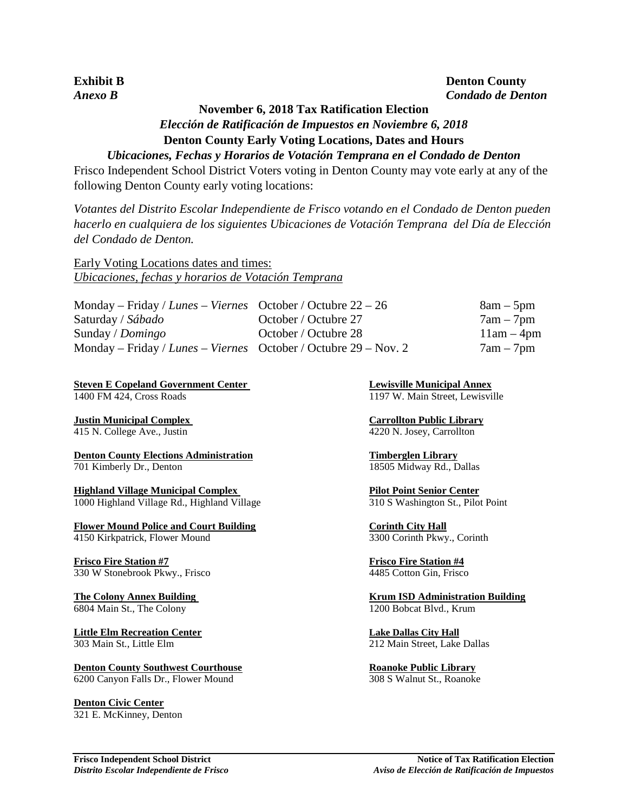#### **Exhibit B Denton County** *Anexo B Condado de Denton*

## **November 6, 2018 Tax Ratification Election** *Elección de Ratificación de Impuestos en Noviembre 6, 2018*  **Denton County Early Voting Locations, Dates and Hours**

#### *Ubicaciones, Fechas y Horarios de Votación Temprana en el Condado de Denton*

Frisco Independent School District Voters voting in Denton County may vote early at any of the following Denton County early voting locations:

*Votantes del Distrito Escolar Independiente de Frisco votando en el Condado de Denton pueden hacerlo en cualquiera de los siguientes Ubicaciones de Votación Temprana del Día de Elección del Condado de Denton.*

Early Voting Locations dates and times: *Ubicaciones, fechas y horarios de Votación Temprana*

| Monday – Friday / Lunes – Viernes October / Octubre $22 - 26$     |                      | $8am - 5pm$  |
|-------------------------------------------------------------------|----------------------|--------------|
| Saturday / Sábado                                                 | October / Octubre 27 | $7am - 7pm$  |
| Sunday / $Domingo$                                                | October / Octubre 28 | $11am - 4pm$ |
| Monday – Friday / Lunes – Viernes October / Octubre $29$ – Nov. 2 |                      | $7am - 7pm$  |

**Steven E Copeland Government Center Lewisville Municipal Annex** 1400 FM 424, Cross Roads 1197 W. Main Street, Lewisville

**<u>Justin Municipal Complex</u><br>
415 N. College Ave., Justin (4220 N. Josey, Carrollton Public Library (4220 N. Josey, Carrollton (4220 N. Josey, Carrollton** 415 N. College Ave., Justin

**Denton County Elections Administration Timberglen Library** 701 Kimberly Dr., Denton 18505 Midway Rd., Dallas

**Highland Village Municipal Complex**<br>1000 Highland Village Rd., Highland Village 1999 Pilot Point St., Pilot Point 1000 Highland Village Rd., Highland Village

**Flower Mound Police and Court Building The County Corinth City Hall** 4150 Kirkpatrick, Flower Mound 3300 Corinth Pkwy., Corinth

**Frisco Fire Station #7 Frisco Fire Station #4** 330 W Stonebrook Pkwy., Frisco 4485 Cotton Gin, Frisco

**Little Elm Recreation Center Lake Dallas City Hall**

**Denton County Southwest Courthouse <b>Roanoke Public Library** 6200 Canyon Falls Dr., Flower Mound 308 S Walnut St., Roanoke

**Denton Civic Center** 321 E. McKinney, Denton

**The Colony Annex Building The Colony Annex Building 3.1 Colony Annex Building** 6804 Main St., The Colony 1200 Bobcat Blvd., Krum

303 Main St., Little Elm 212 Main Street, Lake Dallas